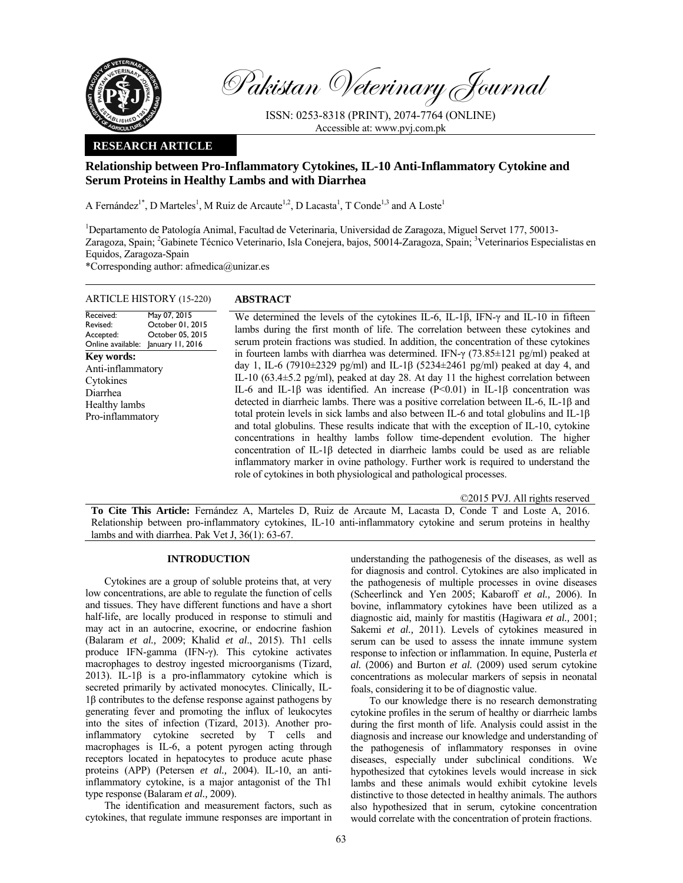

Pakistan Veterinary Journal

ISSN: 0253-8318 (PRINT), 2074-7764 (ONLINE) Accessible at: www.pvj.com.pk

## **RESEARCH ARTICLE**

# **Relationship between Pro-Inflammatory Cytokines, IL-10 Anti-Inflammatory Cytokine and Serum Proteins in Healthy Lambs and with Diarrhea**

A Fernández<sup>1\*</sup>, D Marteles<sup>1</sup>, M Ruiz de Arcaute<sup>1,2</sup>, D Lacasta<sup>1</sup>, T Conde<sup>1,3</sup> and A Loste<sup>1</sup>

<sup>1</sup>Departamento de Patología Animal, Facultad de Veterinaria, Universidad de Zaragoza, Miguel Servet 177, 50013-Zaragoza, Spain; <sup>2</sup>Gabinete Técnico Veterinario, Isla Conejera, bajos, 50014-Zaragoza, Spain; <sup>3</sup>Veterinarios Especialistas en Equidos, Zaragoza-Spain

\*Corresponding author: afmedica@unizar.es

| <b>ARTICLE HISTORY (15-220)</b>                                                                      |                                                                          | <b>ABSTRACT</b>                                                                                                                                                                                                                                                                                                                                                                                                                                                                                                                                                                                                                                                                                                                                                                                                                                                                                                                                                                                                       |  |  |  |  |
|------------------------------------------------------------------------------------------------------|--------------------------------------------------------------------------|-----------------------------------------------------------------------------------------------------------------------------------------------------------------------------------------------------------------------------------------------------------------------------------------------------------------------------------------------------------------------------------------------------------------------------------------------------------------------------------------------------------------------------------------------------------------------------------------------------------------------------------------------------------------------------------------------------------------------------------------------------------------------------------------------------------------------------------------------------------------------------------------------------------------------------------------------------------------------------------------------------------------------|--|--|--|--|
| Received:<br>Revised:<br>Accepted:<br>Online available:                                              | May 07, 2015<br>October 01, 2015<br>October 05, 2015<br>January 11, 2016 | We determined the levels of the cytokines IL-6, IL-1 $\beta$ , IFN- $\gamma$ and IL-10 in fifteen<br>lambs during the first month of life. The correlation between these cytokines and<br>serum protein fractions was studied. In addition, the concentration of these cytokines                                                                                                                                                                                                                                                                                                                                                                                                                                                                                                                                                                                                                                                                                                                                      |  |  |  |  |
| <b>Key words:</b><br>Anti-inflammatory<br>Cytokines<br>Diarrhea<br>Healthy lambs<br>Pro-inflammatory |                                                                          | in fourteen lambs with diarrhea was determined. IFN- $\gamma$ (73.85 $\pm$ 121 pg/ml) peaked at<br>day 1, IL-6 (7910±2329 pg/ml) and IL-1β (5234±2461 pg/ml) peaked at day 4, and<br>IL-10 (63.4 $\pm$ 5.2 pg/ml), peaked at day 28. At day 11 the highest correlation between<br>IL-6 and IL-1 $\beta$ was identified. An increase (P<0.01) in IL-1 $\beta$ concentration was<br>detected in diarrheic lambs. There was a positive correlation between IL-6, IL-1 $\beta$ and<br>total protein levels in sick lambs and also between IL-6 and total globulins and IL-1 $\beta$<br>and total globulins. These results indicate that with the exception of IL-10, cytokine<br>concentrations in healthy lambs follow time-dependent evolution. The higher<br>concentration of IL-1 <sup>β</sup> detected in diarrheic lambs could be used as are reliable<br>inflammatory marker in ovine pathology. Further work is required to understand the<br>role of cytokines in both physiological and pathological processes. |  |  |  |  |

©2015 PVJ. All rights reserved

**To Cite This Article:** Fernández A, Marteles D, Ruiz de Arcaute M, Lacasta D, Conde T and Loste A, 2016. Relationship between pro-inflammatory cytokines, IL-10 anti-inflammatory cytokine and serum proteins in healthy lambs and with diarrhea. Pak Vet J, 36(1): 63-67.

#### **INTRODUCTION**

Cytokines are a group of soluble proteins that, at very low concentrations, are able to regulate the function of cells and tissues. They have different functions and have a short half-life, are locally produced in response to stimuli and may act in an autocrine, exocrine, or endocrine fashion (Balaram *et al.,* 2009; Khalid *et al*., 2015). Th1 cells produce IFN-gamma (IFN-γ). This cytokine activates macrophages to destroy ingested microorganisms (Tizard, 2013). IL-1 $\beta$  is a pro-inflammatory cytokine which is secreted primarily by activated monocytes. Clinically, IL-1β contributes to the defense response against pathogens by generating fever and promoting the influx of leukocytes into the sites of infection (Tizard, 2013). Another proinflammatory cytokine secreted by T cells and macrophages is IL-6, a potent pyrogen acting through receptors located in hepatocytes to produce acute phase proteins (APP) (Petersen *et al.,* 2004). IL-10, an antiinflammatory cytokine, is a major antagonist of the Th1 type response (Balaram *et al.,* 2009).

The identification and measurement factors, such as cytokines, that regulate immune responses are important in

understanding the pathogenesis of the diseases, as well as for diagnosis and control. Cytokines are also implicated in the pathogenesis of multiple processes in ovine diseases (Scheerlinck and Yen 2005; Kabaroff *et al.,* 2006). In bovine, inflammatory cytokines have been utilized as a diagnostic aid, mainly for mastitis (Hagiwara *et al.,* 2001; Sakemi *et al.*, 2011). Levels of cytokines measured in serum can be used to assess the innate immune system response to infection or inflammation. In equine, Pusterla *et al.* (2006) and Burton *et al.* (2009) used serum cytokine concentrations as molecular markers of sepsis in neonatal foals, considering it to be of diagnostic value.

To our knowledge there is no research demonstrating cytokine profiles in the serum of healthy or diarrheic lambs during the first month of life. Analysis could assist in the diagnosis and increase our knowledge and understanding of the pathogenesis of inflammatory responses in ovine diseases, especially under subclinical conditions. We hypothesized that cytokines levels would increase in sick lambs and these animals would exhibit cytokine levels distinctive to those detected in healthy animals. The authors also hypothesized that in serum, cytokine concentration would correlate with the concentration of protein fractions.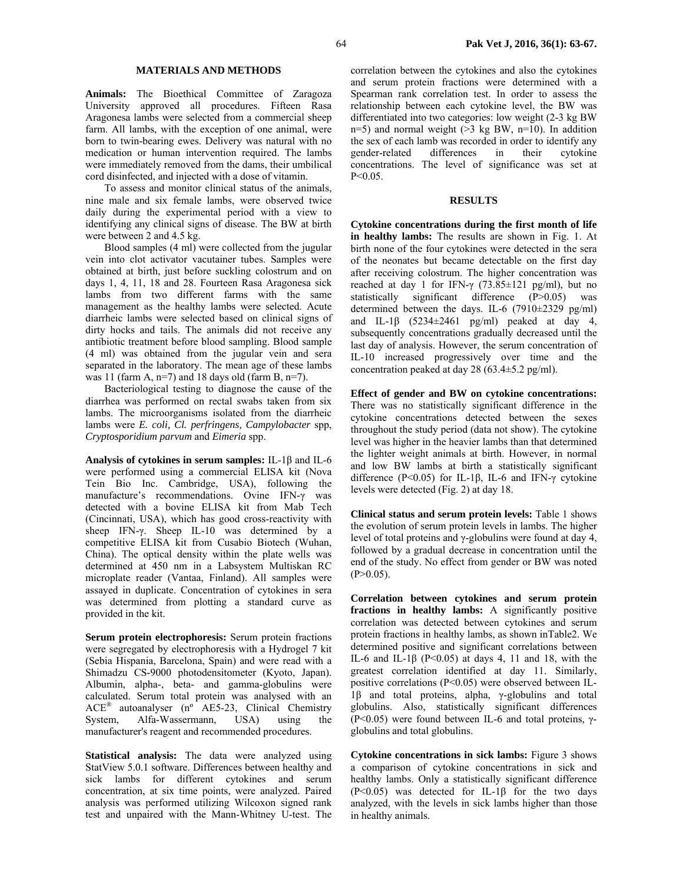### **MATERIALS AND METHODS**

**Animals:** The Bioethical Committee of Zaragoza University approved all procedures. Fifteen Rasa Aragonesa lambs were selected from a commercial sheep farm. All lambs, with the exception of one animal, were born to twin-bearing ewes. Delivery was natural with no medication or human intervention required. The lambs were immediately removed from the dams, their umbilical cord disinfected, and injected with a dose of vitamin.

To assess and monitor clinical status of the animals, nine male and six female lambs, were observed twice daily during the experimental period with a view to identifying any clinical signs of disease. The BW at birth were between 2 and 4.5 kg.

Blood samples (4 ml) were collected from the jugular vein into clot activator vacutainer tubes. Samples were obtained at birth, just before suckling colostrum and on days 1, 4, 11, 18 and 28. Fourteen Rasa Aragonesa sick lambs from two different farms with the same management as the healthy lambs were selected. Acute diarrheic lambs were selected based on clinical signs of dirty hocks and tails. The animals did not receive any antibiotic treatment before blood sampling. Blood sample (4 ml) was obtained from the jugular vein and sera separated in the laboratory. The mean age of these lambs was 11 (farm A,  $n=7$ ) and 18 days old (farm B,  $n=7$ ).

Bacteriological testing to diagnose the cause of the diarrhea was performed on rectal swabs taken from six lambs. The microorganisms isolated from the diarrheic lambs were *E. coli, Cl. perfringens, Campylobacter* spp, *Cryptosporidium parvum* and *Eimeria* spp.

**Analysis of cytokines in serum samples:** IL-1β and IL-6 were performed using a commercial ELISA kit (Nova Tein Bio Inc. Cambridge, USA), following the manufacture's recommendations. Ovine IFN-γ was detected with a bovine ELISA kit from Mab Tech (Cincinnati, USA), which has good cross-reactivity with sheep IFN-γ. Sheep IL-10 was determined by a competitive ELISA kit from Cusabio Biotech (Wuhan, China). The optical density within the plate wells was determined at 450 nm in a Labsystem Multiskan RC microplate reader (Vantaa, Finland). All samples were assayed in duplicate. Concentration of cytokines in sera was determined from plotting a standard curve as provided in the kit.

**Serum protein electrophoresis:** Serum protein fractions were segregated by electrophoresis with a Hydrogel 7 kit (Sebia Hispania, Barcelona, Spain) and were read with a Shimadzu CS-9000 photodensitometer (Kyoto, Japan). Albumin, alpha-, beta- and gamma-globulins were calculated. Serum total protein was analysed with an ACE® autoanalyser (nº AE5-23, Clinical Chemistry System, Alfa-Wassermann, USA) using the manufacturer's reagent and recommended procedures.

**Statistical analysis:** The data were analyzed using StatView 5.0.1 software. Differences between healthy and sick lambs for different cytokines and serum concentration, at six time points, were analyzed. Paired analysis was performed utilizing Wilcoxon signed rank test and unpaired with the Mann-Whitney U-test. The correlation between the cytokines and also the cytokines and serum protein fractions were determined with a Spearman rank correlation test. In order to assess the relationship between each cytokine level, the BW was differentiated into two categories: low weight (2-3 kg BW  $n=5$ ) and normal weight ( $>3$  kg BW,  $n=10$ ). In addition the sex of each lamb was recorded in order to identify any gender-related differences in their cytokine concentrations. The level of significance was set at  $P < 0.05$ .

### **RESULTS**

**Cytokine concentrations during the first month of life in healthy lambs:** The results are shown in Fig. 1. At birth none of the four cytokines were detected in the sera of the neonates but became detectable on the first day after receiving colostrum. The higher concentration was reached at day 1 for IFN- $\gamma$  (73.85 $\pm$ 121 pg/ml), but no statistically significant difference (P>0.05) was determined between the days. IL-6  $(7910\pm2329 \text{ pg/ml})$ and IL-1 $\beta$  (5234 $\pm$ 2461 pg/ml) peaked at day 4, subsequently concentrations gradually decreased until the last day of analysis. However, the serum concentration of IL-10 increased progressively over time and the concentration peaked at day 28 (63.4±5.2 pg/ml).

**Effect of gender and BW on cytokine concentrations:**  There was no statistically significant difference in the cytokine concentrations detected between the sexes throughout the study period (data not show). The cytokine level was higher in the heavier lambs than that determined the lighter weight animals at birth. However, in normal and low BW lambs at birth a statistically significant difference (P<0.05) for IL-1β, IL-6 and IFN-γ cytokine levels were detected (Fig. 2) at day 18.

**Clinical status and serum protein levels:** Table 1 shows the evolution of serum protein levels in lambs. The higher level of total proteins and γ-globulins were found at day 4, followed by a gradual decrease in concentration until the end of the study. No effect from gender or BW was noted  $(P>0.05)$ .

**Correlation between cytokines and serum protein fractions in healthy lambs:** A significantly positive correlation was detected between cytokines and serum protein fractions in healthy lambs, as shown inTable2. We determined positive and significant correlations between IL-6 and IL-1 $\beta$  (P<0.05) at days 4, 11 and 18, with the greatest correlation identified at day 11. Similarly, positive correlations (P<0.05) were observed between IL-1β and total proteins, alpha, γ-globulins and total globulins. Also, statistically significant differences (P<0.05) were found between IL-6 and total proteins,  $\gamma$ globulins and total globulins.

**Cytokine concentrations in sick lambs:** Figure 3 shows a comparison of cytokine concentrations in sick and healthy lambs. Only a statistically significant difference (P<0.05) was detected for IL-1β for the two days analyzed, with the levels in sick lambs higher than those in healthy animals.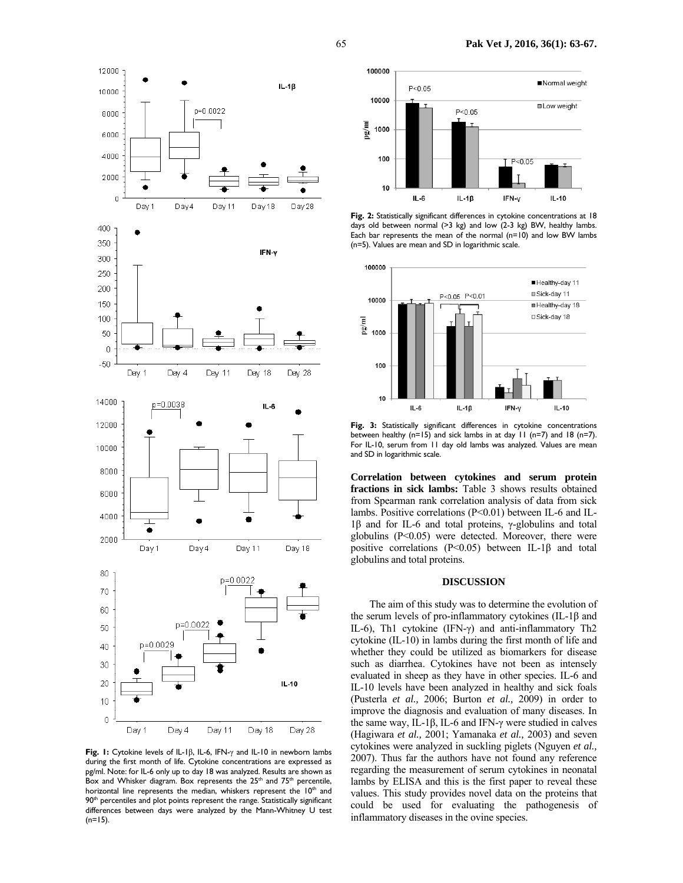

**Fig. 1:** Cytokine levels of IL-1β, IL-6, IFN-γ and IL-10 in newborn lambs during the first month of life. Cytokine concentrations are expressed as pg/ml. Note: for IL-6 only up to day 18 was analyzed. Results are shown as Box and Whisker diagram. Box represents the 25<sup>th</sup> and 75<sup>th</sup> percentile, horizontal line represents the median, whiskers represent the 10<sup>th</sup> and 90<sup>th</sup> percentiles and plot points represent the range. Statistically significant differences between days were analyzed by the Mann-Whitney U test  $(n=15)$ .



Fig. 2: Statistically significant differences in cytokine concentrations at 18 days old between normal  $(>3 \text{ kg})$  and low  $(2-3 \text{ kg})$  BW, healthy lambs. Each bar represents the mean of the normal (n=10) and low BW lambs (n=5). Values are mean and SD in logarithmic scale.



**Fig. 3:** Statistically significant differences in cytokine concentrations between healthy (n=15) and sick lambs in at day 11 (n=7) and 18 (n=7). For IL-10, serum from 11 day old lambs was analyzed. Values are mean and SD in logarithmic scale.

**Correlation between cytokines and serum protein fractions in sick lambs:** Table 3 shows results obtained from Spearman rank correlation analysis of data from sick lambs. Positive correlations (P<0.01) between IL-6 and IL-1β and for IL-6 and total proteins, γ-globulins and total globulins  $(P<0.05)$  were detected. Moreover, there were positive correlations (P<0.05) between IL-1β and total globulins and total proteins.

#### **DISCUSSION**

The aim of this study was to determine the evolution of the serum levels of pro-inflammatory cytokines (IL-1β and IL-6), Th1 cytokine (IFN-γ) and anti-inflammatory Th2 cytokine (IL-10) in lambs during the first month of life and whether they could be utilized as biomarkers for disease such as diarrhea. Cytokines have not been as intensely evaluated in sheep as they have in other species. IL-6 and IL-10 levels have been analyzed in healthy and sick foals (Pusterla *et al.,* 2006; Burton *et al.,* 2009) in order to improve the diagnosis and evaluation of many diseases. In the same way, IL-1β, IL-6 and IFN-γ were studied in calves (Hagiwara *et al.,* 2001; Yamanaka *et al.,* 2003) and seven cytokines were analyzed in suckling piglets (Nguyen *et al.,* 2007). Thus far the authors have not found any reference regarding the measurement of serum cytokines in neonatal lambs by ELISA and this is the first paper to reveal these values. This study provides novel data on the proteins that could be used for evaluating the pathogenesis of inflammatory diseases in the ovine species.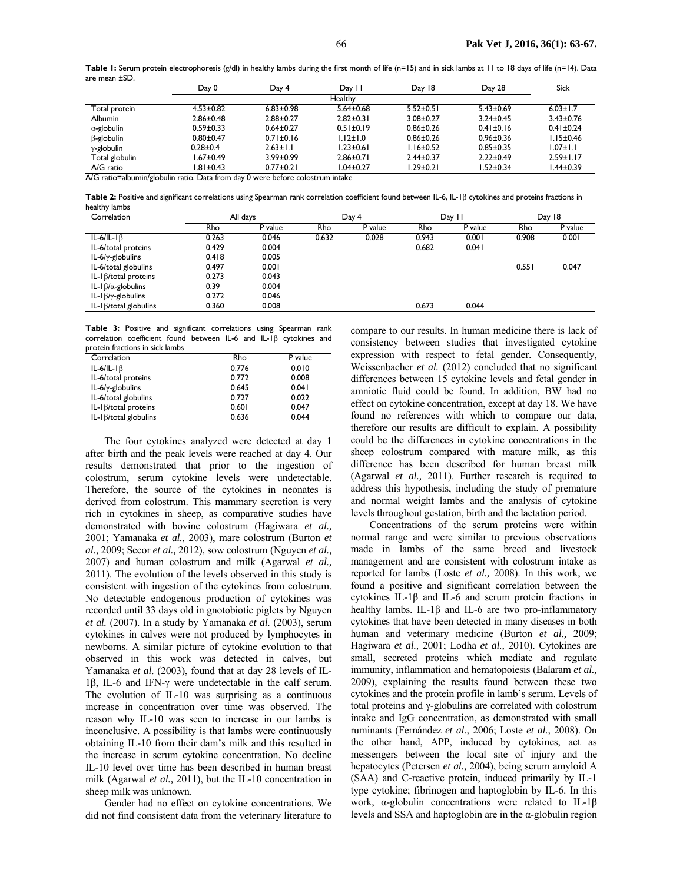**Table 1:** Serum protein electrophoresis (g/dl) in healthy lambs during the first month of life (n=15) and in sick lambs at 11 to 18 days of life (n=14). Data are mean ±SD.

|                    | Day 0           | Day 4           | Day 11          | Day 18          | Day 28          | <b>Sick</b>     |
|--------------------|-----------------|-----------------|-----------------|-----------------|-----------------|-----------------|
|                    |                 |                 | <b>Healthy</b>  |                 |                 |                 |
| Total protein      | $4.53 \pm 0.82$ | $6.83 + 0.98$   | $5.64 \pm 0.68$ | $5.52 \pm 0.51$ | $5.43 \pm 0.69$ | $6.03 \pm 1.7$  |
| <b>Albumin</b>     | $2.86 \pm 0.48$ | $2.88 \pm 0.27$ | $2.82 \pm 0.31$ | $3.08 + 0.27$   | $3.24 \pm 0.45$ | $3.43 \pm 0.76$ |
| $\alpha$ -globulin | $0.59 \pm 0.33$ | $0.64 \pm 0.27$ | $0.51 \pm 0.19$ | $0.86 + 0.26$   | $0.41 \pm 0.16$ | $0.41 \pm 0.24$ |
| $\beta$ -globulin  | $0.80 + 0.47$   | $0.71 \pm 0.16$ | $1.12 \pm 1.0$  | $0.86 + 0.26$   | $0.96 \pm 0.36$ | $1.15 \pm 0.46$ |
| $\gamma$ -globulin | $0.28 + 0.4$    | $2.63 \pm 1.1$  | $1.23 \pm 0.61$ | $1.16 \pm 0.52$ | $0.85 \pm 0.35$ | $1.07 \pm 1.1$  |
| Total globulin     | $1.67 \pm 0.49$ | $3.99 \pm 0.99$ | $2.86 \pm 0.71$ | $2.44 \pm 0.37$ | $2.22 \pm 0.49$ | $2.59 \pm 1.17$ |
| A/G ratio          | $1.81 \pm 0.43$ | $0.77 \pm 0.21$ | $1.04 \pm 0.27$ | $1.29 \pm 0.21$ | $1.52 \pm 0.34$ | A4±0.39         |

A/G ratio=albumin/globulin ratio. Data from day 0 were before colostrum intake

**Table 2:** Positive and significant correlations using Spearman rank correlation coefficient found between IL-6, IL-1β cytokines and proteins fractions in healthy lambs

| Correlation                    |       | All days |       | Day 4   |       | Day 11  |       | Day 18  |
|--------------------------------|-------|----------|-------|---------|-------|---------|-------|---------|
|                                | Rho   | P value  | Rho   | P value | Rho   | P value | Rho   | P value |
| $IL-6/IL-I\beta$               | 0.263 | 0.046    | 0.632 | 0.028   | 0.943 | 0.001   | 0.908 | 0.001   |
| IL-6/total proteins            | 0.429 | 0.004    |       |         | 0.682 | 0.041   |       |         |
| IL-6/ $\gamma$ -globulins      | 0.418 | 0.005    |       |         |       |         |       |         |
| IL-6/total globulins           | 0.497 | 0.001    |       |         |       |         | 0.551 | 0.047   |
| IL- $\beta$ /total proteins    | 0.273 | 0.043    |       |         |       |         |       |         |
| IL-1 $\beta/\alpha$ -globulins | 0.39  | 0.004    |       |         |       |         |       |         |
| IL-1 $\beta/\gamma$ -globulins | 0.272 | 0.046    |       |         |       |         |       |         |
| $IL-I\beta$ /total globulins   | 0.360 | 0.008    |       |         | 0.673 | 0.044   |       |         |

**Table 3:** Positive and significant correlations using Spearman rank correlation coefficient found between IL-6 and IL-1β cytokines and protein fractions in sick lambs

| Correlation                   | Rho   | P value |
|-------------------------------|-------|---------|
| $IL-6/IL-I\beta$              | 0.776 | 0.010   |
| IL-6/total proteins           | 0.772 | 0.008   |
| IL-6/ $\gamma$ -globulins     | 0.645 | 0.041   |
| IL-6/total globulins          | 0.727 | 0.022   |
| IL-1 $\beta$ /total proteins  | 0.601 | 0.047   |
| IL-1 $\beta$ /total globulins | 0.636 | 0.044   |

The four cytokines analyzed were detected at day 1 after birth and the peak levels were reached at day 4. Our results demonstrated that prior to the ingestion of colostrum, serum cytokine levels were undetectable. Therefore, the source of the cytokines in neonates is derived from colostrum. This mammary secretion is very rich in cytokines in sheep, as comparative studies have demonstrated with bovine colostrum (Hagiwara *et al.,*  2001; Yamanaka *et al.,* 2003), mare colostrum (Burton *et al.,* 2009; Secor *et al.,* 2012), sow colostrum (Nguyen *et al.,*  2007) and human colostrum and milk (Agarwal *et al.,*  2011). The evolution of the levels observed in this study is consistent with ingestion of the cytokines from colostrum. No detectable endogenous production of cytokines was recorded until 33 days old in gnotobiotic piglets by Nguyen *et al.* (2007). In a study by Yamanaka *et al.* (2003), serum cytokines in calves were not produced by lymphocytes in newborns. A similar picture of cytokine evolution to that observed in this work was detected in calves, but Yamanaka *et al.* (2003), found that at day 28 levels of IL-1β, IL-6 and IFN-γ were undetectable in the calf serum. The evolution of IL-10 was surprising as a continuous increase in concentration over time was observed. The reason why IL-10 was seen to increase in our lambs is inconclusive. A possibility is that lambs were continuously obtaining IL-10 from their dam's milk and this resulted in the increase in serum cytokine concentration. No decline IL-10 level over time has been described in human breast milk (Agarwal *et al.,* 2011), but the IL-10 concentration in sheep milk was unknown.

Gender had no effect on cytokine concentrations. We did not find consistent data from the veterinary literature to

compare to our results. In human medicine there is lack of consistency between studies that investigated cytokine expression with respect to fetal gender. Consequently, Weissenbacher *et al.* (2012) concluded that no significant differences between 15 cytokine levels and fetal gender in amniotic fluid could be found. In addition, BW had no effect on cytokine concentration, except at day 18. We have found no references with which to compare our data, therefore our results are difficult to explain. A possibility could be the differences in cytokine concentrations in the sheep colostrum compared with mature milk, as this difference has been described for human breast milk (Agarwal *et al.,* 2011). Further research is required to address this hypothesis, including the study of premature and normal weight lambs and the analysis of cytokine levels throughout gestation, birth and the lactation period.

Concentrations of the serum proteins were within normal range and were similar to previous observations made in lambs of the same breed and livestock management and are consistent with colostrum intake as reported for lambs (Loste *et al.,* 2008). In this work, we found a positive and significant correlation between the cytokines IL-1β and IL-6 and serum protein fractions in healthy lambs. IL-1β and IL-6 are two pro-inflammatory cytokines that have been detected in many diseases in both human and veterinary medicine (Burton *et al.,* 2009; Hagiwara *et al.,* 2001; Lodha *et al.,* 2010). Cytokines are small, secreted proteins which mediate and regulate immunity, inflammation and hematopoiesis (Balaram *et al.,*  2009), explaining the results found between these two cytokines and the protein profile in lamb's serum. Levels of total proteins and γ-globulins are correlated with colostrum intake and IgG concentration, as demonstrated with small ruminants (Fernández *et al.,* 2006; Loste *et al.,* 2008). On the other hand, APP, induced by cytokines, act as messengers between the local site of injury and the hepatocytes (Petersen *et al.,* 2004), being serum amyloid A (SAA) and C-reactive protein, induced primarily by IL-1 type cytokine; fibrinogen and haptoglobin by IL-6. In this work, α-globulin concentrations were related to IL-1β levels and SSA and haptoglobin are in the  $\alpha$ -globulin region